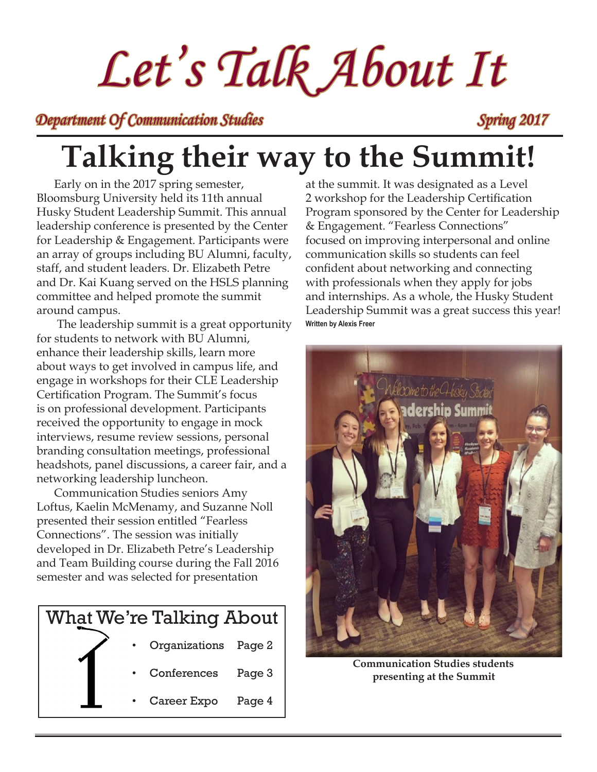# *Let's Talk About It*

*Department Of Communication Studies Spring 2017* 

## **Talking their way to the Summit!**

Early on in the 2017 spring semester, Bloomsburg University held its 11th annual Husky Student Leadership Summit. This annual leadership conference is presented by the Center for Leadership & Engagement. Participants were an array of groups including BU Alumni, faculty, staff, and student leaders. Dr. Elizabeth Petre and Dr. Kai Kuang served on the HSLS planning committee and helped promote the summit around campus.

 The leadership summit is a great opportunity for students to network with BU Alumni, enhance their leadership skills, learn more about ways to get involved in campus life, and engage in workshops for their CLE Leadership Certification Program. The Summit's focus is on professional development. Participants received the opportunity to engage in mock interviews, resume review sessions, personal branding consultation meetings, professional headshots, panel discussions, a career fair, and a networking leadership luncheon.

Communication Studies seniors Amy Loftus, Kaelin McMenamy, and Suzanne Noll presented their session entitled "Fearless Connections". The session was initially developed in Dr. Elizabeth Petre's Leadership and Team Building course during the Fall 2016 semester and was selected for presentation



at the summit. It was designated as a Level 2 workshop for the Leadership Certification Program sponsored by the Center for Leadership & Engagement. "Fearless Connections" focused on improving interpersonal and online communication skills so students can feel confident about networking and connecting with professionals when they apply for jobs and internships. As a whole, the Husky Student Leadership Summit was a great success this year! **Written by Alexis Freer**



**Communication Studies students presenting at the Summit**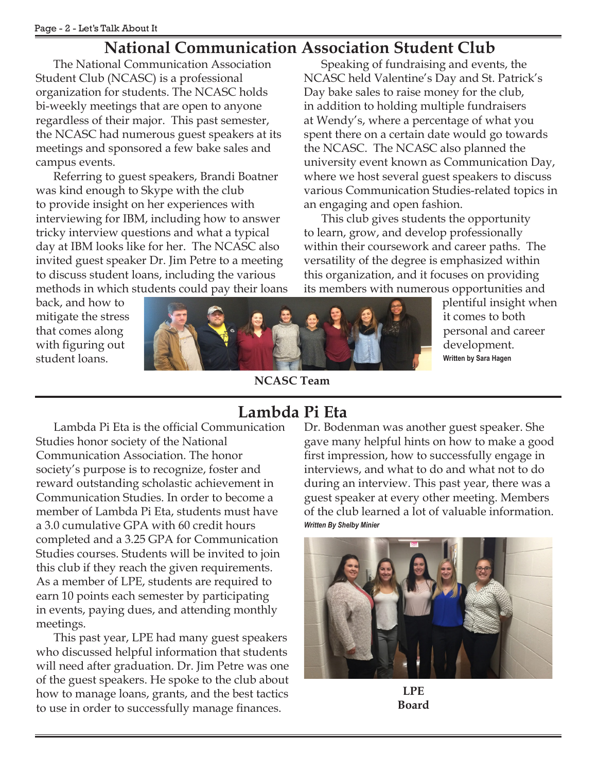#### **National Communication Association Student Club**

The National Communication Association Student Club (NCASC) is a professional organization for students. The NCASC holds bi-weekly meetings that are open to anyone regardless of their major. This past semester, the NCASC had numerous guest speakers at its meetings and sponsored a few bake sales and campus events.

Referring to guest speakers, Brandi Boatner was kind enough to Skype with the club to provide insight on her experiences with interviewing for IBM, including how to answer tricky interview questions and what a typical day at IBM looks like for her. The NCASC also invited guest speaker Dr. Jim Petre to a meeting to discuss student loans, including the various methods in which students could pay their loans

Speaking of fundraising and events, the NCASC held Valentine's Day and St. Patrick's Day bake sales to raise money for the club, in addition to holding multiple fundraisers at Wendy's, where a percentage of what you spent there on a certain date would go towards the NCASC. The NCASC also planned the university event known as Communication Day, where we host several guest speakers to discuss various Communication Studies-related topics in an engaging and open fashion.

This club gives students the opportunity to learn, grow, and develop professionally within their coursework and career paths. The versatility of the degree is emphasized within this organization, and it focuses on providing its members with numerous opportunities and

back, and how to mitigate the stress that comes along with figuring out student loans.



**NCASC Team** 

plentiful insight when it comes to both personal and career development. **Written by Sara Hagen**

#### **Lambda Pi Eta**

Lambda Pi Eta is the official Communication Studies honor society of the National Communication Association. The honor society's purpose is to recognize, foster and reward outstanding scholastic achievement in Communication Studies. In order to become a member of Lambda Pi Eta, students must have a 3.0 cumulative GPA with 60 credit hours completed and a 3.25 GPA for Communication Studies courses. Students will be invited to join this club if they reach the given requirements. As a member of LPE, students are required to earn 10 points each semester by participating in events, paying dues, and attending monthly meetings.

This past year, LPE had many guest speakers who discussed helpful information that students will need after graduation. Dr. Jim Petre was one of the guest speakers. He spoke to the club about how to manage loans, grants, and the best tactics to use in order to successfully manage finances.

Dr. Bodenman was another guest speaker. She gave many helpful hints on how to make a good first impression, how to successfully engage in interviews, and what to do and what not to do during an interview. This past year, there was a guest speaker at every other meeting. Members of the club learned a lot of valuable information. *Written By Shelby Minier*



**LPE Board**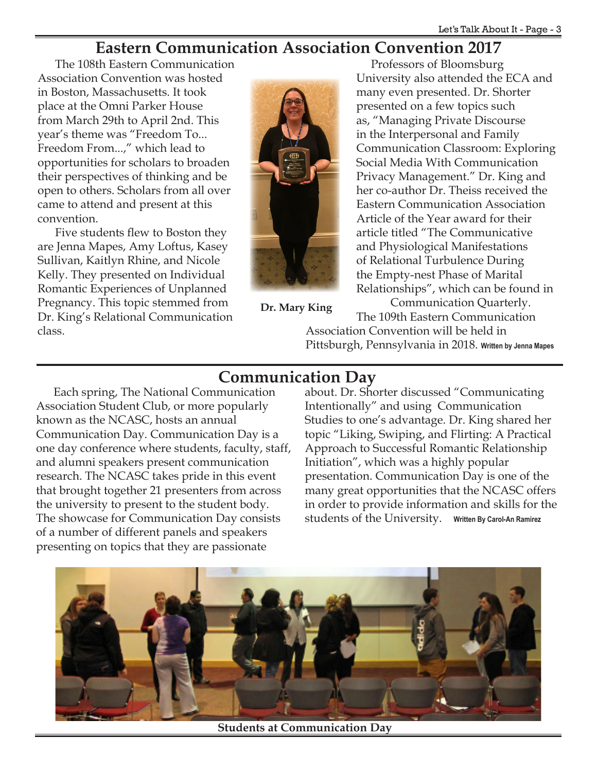#### **Eastern Communication Association Convention 2017**

The 108th Eastern Communication Association Convention was hosted in Boston, Massachusetts. It took place at the Omni Parker House from March 29th to April 2nd. This year's theme was "Freedom To... Freedom From...," which lead to opportunities for scholars to broaden their perspectives of thinking and be open to others. Scholars from all over came to attend and present at this convention.

Five students flew to Boston they are Jenna Mapes, Amy Loftus, Kasey Sullivan, Kaitlyn Rhine, and Nicole Kelly. They presented on Individual Romantic Experiences of Unplanned Pregnancy. This topic stemmed from Dr. King's Relational Communication class.



**Dr. Mary King**

Professors of Bloomsburg University also attended the ECA and many even presented. Dr. Shorter presented on a few topics such as, "Managing Private Discourse in the Interpersonal and Family Communication Classroom: Exploring Social Media With Communication Privacy Management." Dr. King and her co-author Dr. Theiss received the Eastern Communication Association Article of the Year award for their article titled "The Communicative and Physiological Manifestations of Relational Turbulence During the Empty-nest Phase of Marital Relationships", which can be found in

 Communication Quarterly. The 109th Eastern Communication

Association Convention will be held in Pittsburgh, Pennsylvania in 2018. **Written by Jenna Mapes**

#### **Communication Day**

Each spring, The National Communication Association Student Club, or more popularly known as the NCASC, hosts an annual Communication Day. Communication Day is a one day conference where students, faculty, staff, and alumni speakers present communication research. The NCASC takes pride in this event that brought together 21 presenters from across the university to present to the student body. The showcase for Communication Day consists of a number of different panels and speakers presenting on topics that they are passionate

about. Dr. Shorter discussed "Communicating Intentionally" and using Communication Studies to one's advantage. Dr. King shared her topic "Liking, Swiping, and Flirting: A Practical Approach to Successful Romantic Relationship Initiation", which was a highly popular presentation. Communication Day is one of the many great opportunities that the NCASC offers in order to provide information and skills for the students of the University. **Written By Carol-An Ramirez**



**Students at Communication Day**